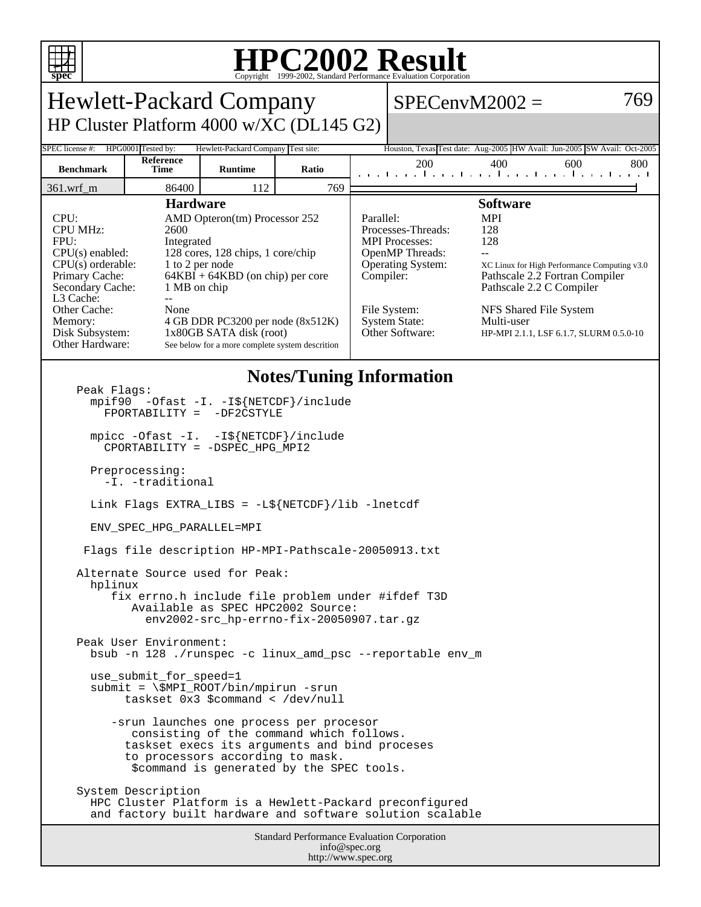

## **HPC2002 Result**

| Copyright @1999 2002, Dundard Ferrormance Evaluation Corporation                                                                                                                                                                                                                                                                                                                                                                                                                                                        |                   |                |       |  |                                                                                                                                                                                                                                                                                                                                                                                                                                               |     |     |     |
|-------------------------------------------------------------------------------------------------------------------------------------------------------------------------------------------------------------------------------------------------------------------------------------------------------------------------------------------------------------------------------------------------------------------------------------------------------------------------------------------------------------------------|-------------------|----------------|-------|--|-----------------------------------------------------------------------------------------------------------------------------------------------------------------------------------------------------------------------------------------------------------------------------------------------------------------------------------------------------------------------------------------------------------------------------------------------|-----|-----|-----|
| <b>Hewlett-Packard Company</b>                                                                                                                                                                                                                                                                                                                                                                                                                                                                                          |                   |                |       |  | $SPECenvM2002 =$                                                                                                                                                                                                                                                                                                                                                                                                                              |     |     |     |
| HP Cluster Platform 4000 w/XC (DL145 G2)                                                                                                                                                                                                                                                                                                                                                                                                                                                                                |                   |                |       |  |                                                                                                                                                                                                                                                                                                                                                                                                                                               |     |     |     |
| HPG0001 Tested by:<br>SPEC license #:<br>Hewlett-Packard Company Test site:<br>Houston, Texas Test date: Aug-2005 HW Avail: Jun-2005 SW Avail: Oct-2005                                                                                                                                                                                                                                                                                                                                                                 |                   |                |       |  |                                                                                                                                                                                                                                                                                                                                                                                                                                               |     |     |     |
| <b>Benchmark</b>                                                                                                                                                                                                                                                                                                                                                                                                                                                                                                        | Reference<br>Time | <b>Runtime</b> | Ratio |  | 200<br>المتوجل وتواجه والمتوجل وتوجل وتوجل والمراجع                                                                                                                                                                                                                                                                                                                                                                                           | 400 | 600 | 800 |
| $361.wrf$ m                                                                                                                                                                                                                                                                                                                                                                                                                                                                                                             | 86400             | 112            | 769   |  |                                                                                                                                                                                                                                                                                                                                                                                                                                               |     |     |     |
| <b>Hardware</b><br>CPU:<br>AMD Opteron(tm) Processor 252<br><b>CPU MHz:</b><br>2600<br>FPU:<br>Integrated<br>CPU(s) enabled:<br>128 cores, 128 chips, 1 core/chip<br>$CPU(s)$ orderable:<br>1 to 2 per node<br>Primary Cache:<br>$64KBI + 64KBD$ (on chip) per core<br>1 MB on chip<br>Secondary Cache:<br>L3 Cache:<br>$-$<br>Other Cache:<br>None<br>4 GB DDR PC3200 per node (8x512K)<br>Memory:<br>Disk Subsystem:<br>1x80GB SATA disk (root)<br>Other Hardware:<br>See below for a more complete system descrition |                   |                |       |  | <b>Software</b><br>Parallel:<br><b>MPI</b><br>Processes-Threads:<br>128<br><b>MPI</b> Processes:<br>128<br><b>OpenMP</b> Threads:<br>ωú.<br><b>Operating System:</b><br>XC Linux for High Performance Computing v3.0<br>Pathscale 2.2 Fortran Compiler<br>Compiler:<br>Pathscale 2.2 C Compiler<br>File System:<br>NFS Shared File System<br><b>System State:</b><br>Multi-user<br>Other Software:<br>HP-MPI 2.1.1, LSF 6.1.7, SLURM 0.5.0-10 |     |     |     |
| <b>Notes/Tuning Information</b><br>Peak Flags:<br>mpif90 -Ofast -I. -I\${NETCDF}/include<br>$FPORTABILITY = -DF2CSTYLE$<br>mpicc -Ofast -I. -I\${NETCDF}/include<br>CPORTABILITY = -DSPEC_HPG_MPI2<br>Preprocessing:<br>-I. -traditional                                                                                                                                                                                                                                                                                |                   |                |       |  |                                                                                                                                                                                                                                                                                                                                                                                                                                               |     |     |     |
| Link Flags EXTRA_LIBS = $-L\$ {NETCDF}/lib -lnetcdf<br>ENV SPEC HPG PARALLEL=MPI                                                                                                                                                                                                                                                                                                                                                                                                                                        |                   |                |       |  |                                                                                                                                                                                                                                                                                                                                                                                                                                               |     |     |     |
| Flags file description HP-MPI-Pathscale-20050913.txt                                                                                                                                                                                                                                                                                                                                                                                                                                                                    |                   |                |       |  |                                                                                                                                                                                                                                                                                                                                                                                                                                               |     |     |     |
| Alternate Source used for Peak:<br>hplinux<br>fix errno.h include file problem under #ifdef T3D<br>Available as SPEC HPC2002 Source:<br>env2002-src_hp-errno-fix-20050907.tar.gz                                                                                                                                                                                                                                                                                                                                        |                   |                |       |  |                                                                                                                                                                                                                                                                                                                                                                                                                                               |     |     |     |
| Peak User Environment:<br>bsub -n 128 ./runspec -c linux_amd_psc --reportable env_m                                                                                                                                                                                                                                                                                                                                                                                                                                     |                   |                |       |  |                                                                                                                                                                                                                                                                                                                                                                                                                                               |     |     |     |
| use_submit_for_speed=1<br>$submit = \$MPI_ROOT/bin/mpirun -srun$<br>taskset $0x3$ \$command < /dev/null                                                                                                                                                                                                                                                                                                                                                                                                                 |                   |                |       |  |                                                                                                                                                                                                                                                                                                                                                                                                                                               |     |     |     |
| -srun launches one process per procesor<br>consisting of the command which follows.<br>taskset execs its arguments and bind proceses<br>to processors according to mask.<br>\$command is generated by the SPEC tools.                                                                                                                                                                                                                                                                                                   |                   |                |       |  |                                                                                                                                                                                                                                                                                                                                                                                                                                               |     |     |     |
| System Description<br>HPC Cluster Platform is a Hewlett-Packard preconfigured<br>and factory built hardware and software solution scalable                                                                                                                                                                                                                                                                                                                                                                              |                   |                |       |  |                                                                                                                                                                                                                                                                                                                                                                                                                                               |     |     |     |
| <b>Standard Performance Evaluation Corporation</b><br>info@spec.org                                                                                                                                                                                                                                                                                                                                                                                                                                                     |                   |                |       |  |                                                                                                                                                                                                                                                                                                                                                                                                                                               |     |     |     |

http://www.spec.org